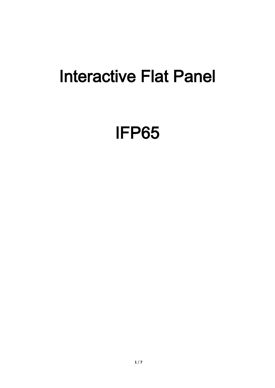## Interactive Flat Panel

## IFP65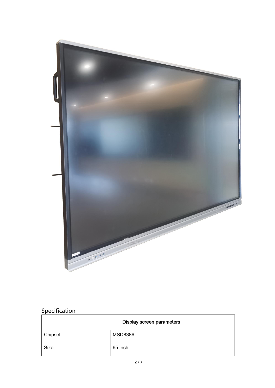

## **Specification**

| Display screen parameters |                |
|---------------------------|----------------|
| Chipset                   | <b>MSD8386</b> |
| Size                      | 65 inch        |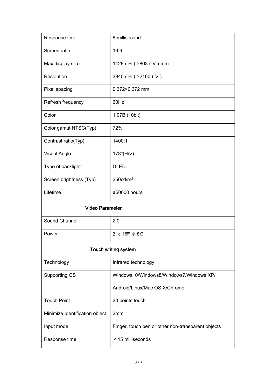| Response time                  | 8 millisecond                                      |
|--------------------------------|----------------------------------------------------|
| Screen ratio                   | 16:9                                               |
| Max display size               | 1428 (H) ×803 (V) mm                               |
| Resolution                     | 3840 (H) ×2160 (V)                                 |
| Pixel spacing                  | 0.372×0.372 mm                                     |
| Refresh frequency              | 60Hz                                               |
| Color                          | 1.07B (10bit)                                      |
| Color gamut NTSC(Typ)          | 72%                                                |
| Contrast ratio(Typ)            | 1400:1                                             |
| <b>Visual Angle</b>            | $178^\circ$ (H/V)                                  |
| Type of backlight              | <b>DLED</b>                                        |
| Screen brightness (Typ)        | 350cd/m <sup>2</sup>                               |
| Lifetime                       | ≥50000 hours                                       |
| <b>Video Parameter</b>         |                                                    |
| Sound Channel                  | 2.0                                                |
| Power                          | 2 x 15W @ 8Ω                                       |
| Touch writing system           |                                                    |
| Technology                     | Infrared technology                                |
| Supporting OS                  | Windows10/Windows8/Windows7/Windows XP/            |
|                                | Android/Linux/Mac OS X/Chrome                      |
| <b>Touch Point</b>             | 20 points touch                                    |
| Minimize Identification object | 2mm                                                |
| Input mode                     | Finger, touch pen or other non-transparent objects |
| Response time                  | < 15 milliseconds                                  |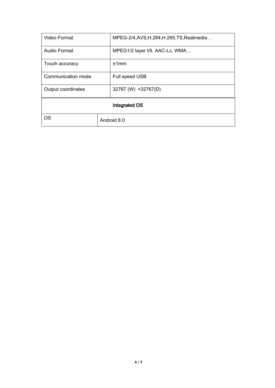| Video Format       |             | MPEG-2/4, AVS, H.264, H.265, TS, Realmedia |
|--------------------|-------------|--------------------------------------------|
| Audio Format       |             | MPEG1/2 layer I/II, AAC-Lc, WMA            |
| Touch accuracy     |             | ±1mm                                       |
| Communication mode |             | Full speed USB                             |
| Output coordinates |             | 32767 (W) ×32767(D)                        |
| Integrated OS      |             |                                            |
| <b>OS</b>          | Android 8.0 |                                            |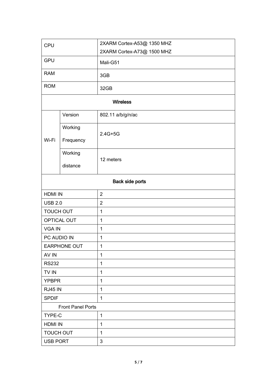| CPU                 |                          | 2XARM Cortex-A53@ 1350 MHZ |  |  |
|---------------------|--------------------------|----------------------------|--|--|
|                     |                          | 2XARM Cortex-A73@ 1500 MHZ |  |  |
| <b>GPU</b>          |                          | Mali-G51                   |  |  |
| <b>RAM</b>          |                          | 3GB                        |  |  |
| <b>ROM</b>          |                          | 32GB                       |  |  |
| <b>Wireless</b>     |                          |                            |  |  |
|                     | Version                  | 802.11 a/b/g/n/ac          |  |  |
| Wi-Fi               | Working<br>Frequency     | $2.4G+5G$                  |  |  |
|                     | Working<br>distance      | 12 meters                  |  |  |
| Back side ports     |                          |                            |  |  |
| <b>HDMI IN</b>      |                          | $\overline{2}$             |  |  |
| <b>USB 2.0</b>      |                          | $\overline{2}$             |  |  |
| <b>TOUCH OUT</b>    |                          | $\mathbf 1$                |  |  |
| OPTICAL OUT         |                          | $\mathbf{1}$               |  |  |
| <b>VGA IN</b>       |                          | $\mathbf 1$                |  |  |
| PC AUDIO IN         |                          | $\mathbf 1$                |  |  |
| <b>EARPHONE OUT</b> |                          | 1                          |  |  |
| AV IN               |                          | $\mathbf 1$                |  |  |
| <b>RS232</b>        |                          | $\mathbf{1}$               |  |  |
| TV IN               |                          | $\mathbf 1$                |  |  |
| <b>YPBPR</b>        |                          | $\mathbf{1}$               |  |  |
| <b>RJ45 IN</b>      |                          | $\mathbf{1}$               |  |  |
| <b>SPDIF</b>        |                          | 1                          |  |  |
|                     | <b>Front Panel Ports</b> |                            |  |  |
| TYPE-C              |                          | $\mathbf 1$                |  |  |
| <b>HDMI IN</b>      |                          | $\mathbf 1$                |  |  |
| <b>TOUCH OUT</b>    |                          | $\mathbf{1}$               |  |  |
| <b>USB PORT</b>     |                          | 3                          |  |  |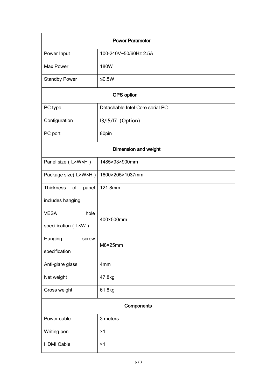| <b>Power Parameter</b>      |                                 |  |
|-----------------------------|---------------------------------|--|
| Power Input                 | 100-240V~50/60Hz 2.5A           |  |
| Max Power                   | 180W                            |  |
| <b>Standby Power</b>        | ≤0.5 $W$                        |  |
|                             | OPS option                      |  |
| PC type                     | Detachable Intel Core serial PC |  |
| Configuration               | 13/15/17 (Option)               |  |
| PC port                     | 80pin                           |  |
| <b>Dimension and weight</b> |                                 |  |
| Panel size (LxWxH)          | 1485×93×900mm                   |  |
| Package size(LxWxH)         | 1600×205×1037mm                 |  |
| Thickness<br>of<br>panel    | 121.8mm                         |  |
| includes hanging            |                                 |  |
| <b>VESA</b><br>hole         | 400×500mm                       |  |
| specification (LxW)         |                                 |  |
| Hanging<br>screw            | M8×25mm                         |  |
| specification               |                                 |  |
| Anti-glare glass            | 4mm                             |  |
| Net weight                  | 47.8kg                          |  |
| Gross weight                | 61.8kg                          |  |
| Components                  |                                 |  |
| Power cable                 | 3 meters                        |  |
| Writing pen                 | $\times$ 1                      |  |
| <b>HDMI Cable</b>           | $\times$ 1                      |  |